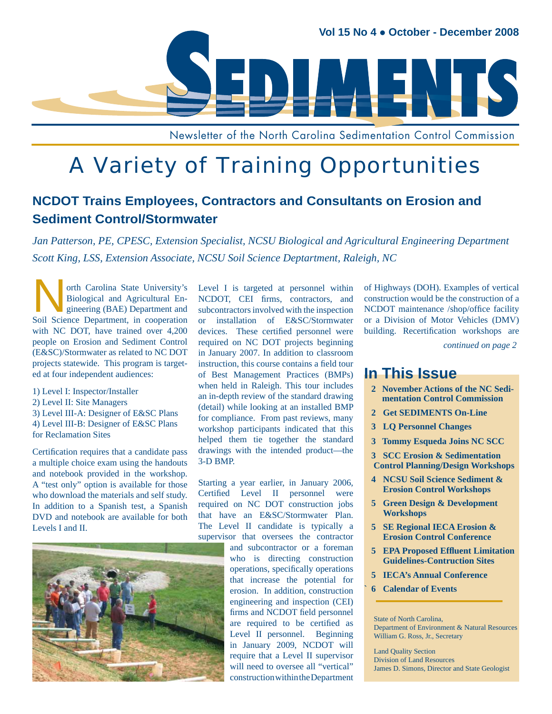

Newsletter of the North Carolina Sedimentation Control Commission

# A Variety of Training Opportunities

### **NCDOT Trains Employees, Contractors and Consultants on Erosion and Sediment Control/Stormwater**

*Jan Patterson, PE, CPESC, Extension Specialist, NCSU Biological and Agricultural Engineering Department Scott King, LSS, Extension Associate, NCSU Soil Science Deptartment, Raleigh, NC*

orth Carolina State University's<br>Biological and Agricultural Engineering (BAE) Department and<br>Soil Science Department in cooperation Biological and Agricultural Engineering (BAE) Department and Soil Science Department, in cooperation with NC DOT, have trained over 4,200 people on Erosion and Sediment Control (E&SC)/Stormwater as related to NC DOT projects statewide. This program is targeted at four independent audiences:

1) Level I: Inspector/Installer 2) Level II: Site Managers 3) Level III-A: Designer of E&SC Plans 4) Level III-B: Designer of E&SC Plans for Reclamation Sites

Certification requires that a candidate pass a multiple choice exam using the handouts and notebook provided in the workshop. A "test only" option is available for those who download the materials and self study. In addition to a Spanish test, a Spanish DVD and notebook are available for both Levels I and II.



Level I is targeted at personnel within NCDOT, CEI firms, contractors, and subcontractors involved with the inspection or installation of E&SC/Stormwater devices. These certified personnel were required on NC DOT projects beginning in January 2007. In addition to classroom instruction, this course contains a field tour of Best Management Practices (BMPs) when held in Raleigh. This tour includes an in-depth review of the standard drawing (detail) while looking at an installed BMP for compliance. From past reviews, many workshop participants indicated that this helped them tie together the standard drawings with the intended product—the 3-D BMP.

Starting a year earlier, in January 2006, Certified Level II personnel were required on NC DOT construction jobs that have an E&SC/Stormwater Plan. The Level II candidate is typically a supervisor that oversees the contractor

and subcontractor or a foreman who is directing construction operations, specifically operations that increase the potential for erosion. In addition, construction engineering and inspection (CEI) firms and NCDOT field personnel are required to be certified as Level II personnel. Beginning in January 2009, NCDOT will require that a Level II supervisor will need to oversee all "vertical" construction within the Department

of Highways (DOH). Examples of vertical construction would be the construction of a NCDOT maintenance /shop/office facility or a Division of Motor Vehicles (DMV) building. Recertification workshops are

*continued on page 2*

### **In This Issue**

- **2 November Actions of the NC Sedi mentation Control Commission**
- **2 Get SEDIMENTS On-Line**
- **3 LQ Personnel Changes**
- **3 Tommy Esqueda Joins NC SCC**

 **3 SCC Erosion & Sedimentation Control Planning/Design Workshops**

- **4 NCSU Soil Science Sediment & Erosion Control Workshops**
- **5 Green Design & Development Workshops**
- **5 SE Regional IECA Erosion & Erosion Control Conference**
- **5 EPA Proposed Effl uent Limitation Guidelines-Contruction Sites**
- **5 IECA's Annual Conference**
- **` 6 Calendar of Events**

State of North Carolina, Department of Environment & Natural Resources William G. Ross, Jr., Secretary

Land Quality Section Division of Land Resources James D. Simons, Director and State Geologist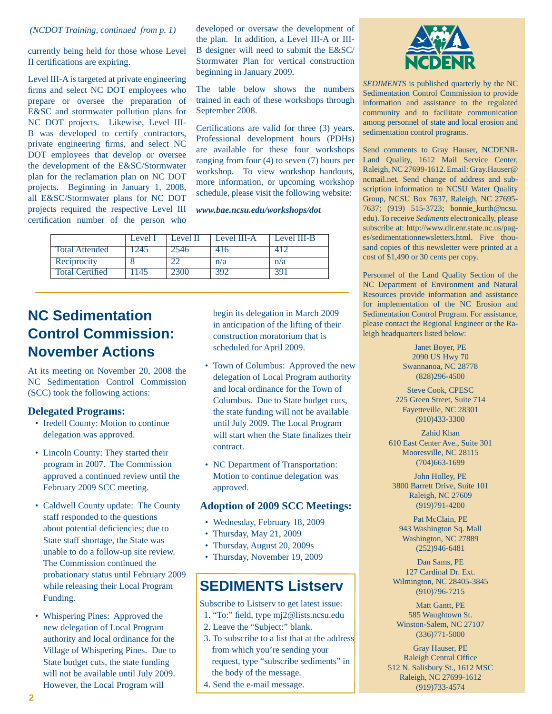#### *(NCDOT Training, continued from p. 1)*

currently being held for those whose Level II certifications are expiring.

Level III-A is targeted at private engineering firms and select NC DOT employees who prepare or oversee the preparation of E&SC and stormwater pollution plans for NC DOT projects. Likewise, Level III-B was developed to certify contractors, private engineering firms, and select NC DOT employees that develop or oversee the development of the E&SC/Stormwater plan for the reclamation plan on NC DOT projects. Beginning in January 1, 2008, all E&SC/Stormwater plans for NC DOT projects required the respective Level III certification number of the person who

developed or oversaw the development of the plan. In addition, a Level III-A or III-B designer will need to submit the E&SC/ Stormwater Plan for vertical construction beginning in January 2009.

The table below shows the numbers trained in each of these workshops through September 2008.

Certifications are valid for three (3) years. Professional development hours (PDHs) are available for these four workshops ranging from four (4) to seven (7) hours per workshop. To view workshop handouts, more information, or upcoming workshop schedule, please visit the following website:

#### *www.bae.ncsu.edu/workshops/dot*

|                        | Level I      | Level II | Level III-A | Level III-B |
|------------------------|--------------|----------|-------------|-------------|
| <b>Total Attended</b>  | $-74$ $\sim$ | 74h      |             |             |
| Reciprocity            |              |          | n/a         | n/a         |
| <b>Total Certified</b> |              |          |             |             |

# **NC Sedimentation Control Commission: November Actions**

At its meeting on November 20, 2008 the NC Sedimentation Control Commission (SCC) took the following actions:

#### **Delegated Programs:**

- Iredell County: Motion to continue delegation was approved.
- Lincoln County: They started their program in 2007. The Commission approved a continued review until the February 2009 SCC meeting.
- Caldwell County update: The County staff responded to the questions about potential deficiencies; due to State staff shortage, the State was unable to do a follow-up site review. The Commission continued the probationary status until February 2009 while releasing their Local Program Funding.
- Whispering Pines: Approved the new delegation of Local Program authority and local ordinance for the Village of Whispering Pines. Due to State budget cuts, the state funding will not be available until July 2009. However, the Local Program will

begin its delegation in March 2009 in anticipation of the lifting of their construction moratorium that is scheduled for April 2009.

- Town of Columbus: Approved the new delegation of Local Program authority and local ordinance for the Town of Columbus. Due to State budget cuts, the state funding will not be available until July 2009. The Local Program will start when the State finalizes their contract.
- NC Department of Transportation: Motion to continue delegation was approved.

#### **Adoption of 2009 SCC Meetings:**

- Wednesday, February 18, 2009
- Thursday, May 21, 2009
- Thursday, August 20, 2009s
- Thursday, November 19, 2009

### **SEDIMENTS Listserv**

Subscribe to Listserv to get latest issue:

- 1. "To:" field, type mj2@lists.ncsu.edu
- 2. Leave the "Subject:" blank.
- 3. To subscribe to a list that at the address from which you're sending your request, type "subscribe sediments" in the body of the message.
- 4. Send the e-mail message.



*SEDIMENTS* is published quarterly by the NC Sedimentation Control Commission to provide information and assistance to the regulated community and to facilitate communication among personnel of state and local erosion and sedimentation control programs.

Send comments to Gray Hauser, NCDENR-Land Quality, 1612 Mail Service Center, Raleigh, NC 27699-1612. Email: Gray.Hauser@ ncmail.net. Send change of address and subscription information to NCSU Water Quality Group, NCSU Box 7637, Raleigh, NC 27695- 7637; (919) 515-3723; bonnie\_kurth@ncsu. edu). To receive *Sediments* electronically, please subscribe at: http://www.dlr.enr.state.nc.us/pages/sedimentationnewsletters.html. Five thousand copies of this newsletter were printed at a cost of \$1,490 or 30 cents per copy.

Personnel of the Land Quality Section of the NC Department of Environment and Natural Resources provide information and assistance for implementation of the NC Erosion and Sedimentation Control Program. For assistance, please contact the Regional Engineer or the Raleigh headquarters listed below:

> Janet Boyer, PE 2090 US Hwy 70 Swannanoa, NC 28778 (828)296-4500

Steve Cook, CPESC 225 Green Street, Suite 714 Fayetteville, NC 28301 (910)433-3300

Zahid Khan 610 East Center Ave., Suite 301 Mooresville, NC 28115 (704)663-1699

John Holley, PE 3800 Barrett Drive, Suite 101 Raleigh, NC 27609 (919)791-4200

Pat McClain, PE 943 Washington Sq. Mall Washington, NC 27889 (252)946-6481

Dan Sams, PE 127 Cardinal Dr. Ext. Wilmington, NC 28405-3845 (910)796-7215

Matt Gantt, PE 585 Waughtown St. Winston-Salem, NC 27107 (336)771-5000

Gray Hauser, PE Raleigh Central Office 512 N. Salisbury St., 1612 MSC Raleigh, NC 27699-1612 (919)733-4574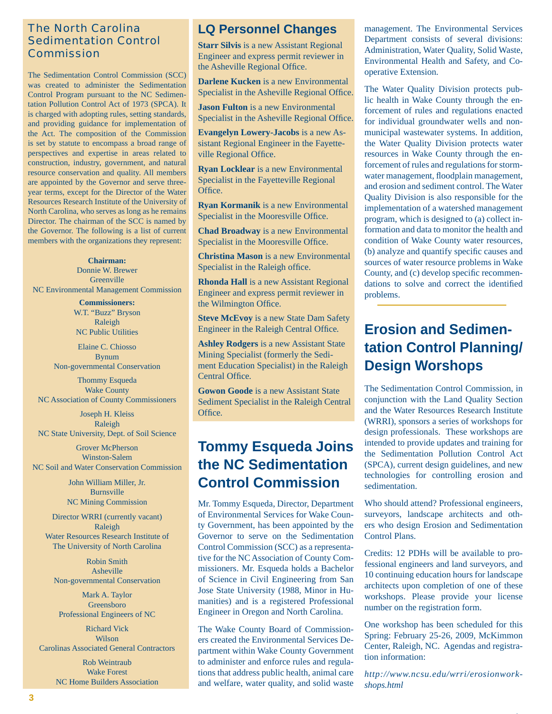### The North Carolina Sedimentation Control Commission

The Sedimentation Control Commission (SCC) was created to administer the Sedimentation Control Program pursuant to the NC Sedimentation Pollution Control Act of 1973 (SPCA). It is charged with adopting rules, setting standards, and providing guidance for implementation of the Act. The composition of the Commission is set by statute to encompass a broad range of perspectives and expertise in areas related to construction, industry, government, and natural resource conservation and quality. All members are appointed by the Governor and serve threeyear terms, except for the Director of the Water Resources Research Institute of the University of North Carolina, who serves as long as he remains Director. The chairman of the SCC is named by the Governor. The following is a list of current members with the organizations they represent:

**Chairman:** Donnie W. Brewer Greenville NC Environmental Management Commission

> **Commissioners:** W.T. "Buzz" Bryson Raleigh NC Public Utilities

Elaine C. Chiosso Bynum Non-governmental Conservation

Thommy Esqueda Wake County NC Association of County Commissioners

Joseph H. Kleiss Raleigh NC State University, Dept. of Soil Science

Grover McPherson Winston-Salem NC Soil and Water Conservation Commission

> John William Miller, Jr. Burnsville NC Mining Commission

Director WRRI (currently vacant) Raleigh Water Resources Research Institute of The University of North Carolina

Robin Smith Asheville Non-governmental Conservation

Mark A. Taylor Greensboro Professional Engineers of NC

Richard Vick Wilson Carolinas Associated General Contractors

> Rob Weintraub Wake Forest NC Home Builders Association

### **LQ Personnel Changes**

**Starr Silvis** is a new Assistant Regional Engineer and express permit reviewer in the Asheville Regional Office.

**Darlene Kucken** is a new Environmental Specialist in the Asheville Regional Office.

**Jason Fulton** is a new Environmental Specialist in the Asheville Regional Office.

**Evangelyn Lowery-Jacobs** is a new Assistant Regional Engineer in the Fayetteville Regional Office.

**Ryan Locklear** is a new Environmental Specialist in the Fayetteville Regional Office.

**Ryan Kormanik** is a new Environmental Specialist in the Mooresville Office.

**Chad Broadway** is a new Environmental Specialist in the Mooresville Office.

**Christina Mason** is a new Environmental Specialist in the Raleigh office.

**Rhonda Hall** is a new Assistant Regional Engineer and express permit reviewer in the Wilmington Office.

**Steve McEvoy** is a new State Dam Safety Engineer in the Raleigh Central Office.

**Ashley Rodgers** is a new Assistant State Mining Specialist (formerly the Sediment Education Specialist) in the Raleigh Central Office.

**Gowon Goode** is a new Assistant State Sediment Specialist in the Raleigh Central Office.

### **Tommy Esqueda Joins the NC Sedimentation Control Commission**

Mr. Tommy Esqueda, Director, Department of Environmental Services for Wake County Government, has been appointed by the Governor to serve on the Sedimentation Control Commission (SCC) as a representative for the NC Association of County Commissioners. Mr. Esqueda holds a Bachelor of Science in Civil Engineering from San Jose State University (1988, Minor in Humanities) and is a registered Professional Engineer in Oregon and North Carolina.

The Wake County Board of Commissioners created the Environmental Services Department within Wake County Government to administer and enforce rules and regulations that address public health, animal care and welfare, water quality, and solid waste management. The Environmental Services Department consists of several divisions: Administration, Water Quality, Solid Waste, Environmental Health and Safety, and Cooperative Extension.

The Water Quality Division protects public health in Wake County through the enforcement of rules and regulations enacted for individual groundwater wells and nonmunicipal wastewater systems. In addition, the Water Quality Division protects water resources in Wake County through the enforcement of rules and regulations for stormwater management, floodplain management, and erosion and sediment control. The Water Quality Division is also responsible for the implementation of a watershed management program, which is designed to (a) collect information and data to monitor the health and condition of Wake County water resources, (b) analyze and quantify specific causes and sources of water resource problems in Wake County, and (c) develop specific recommendations to solve and correct the identified problems.

# **Erosion and Sedimentation Control Planning/ Design Worshops**

The Sedimentation Control Commission, in conjunction with the Land Quality Section and the Water Resources Research Institute (WRRI), sponsors a series of workshops for design professionals. These workshops are intended to provide updates and training for the Sedimentation Pollution Control Act (SPCA), current design guidelines, and new technologies for controlling erosion and sedimentation.

Who should attend? Professional engineers, surveyors, landscape architects and others who design Erosion and Sedimentation Control Plans.

Credits: 12 PDHs will be available to professional engineers and land surveyors, and 10 continuing education hours for landscape architects upon completion of one of these workshops. Please provide your license number on the registration form.

One workshop has been scheduled for this Spring: February 25-26, 2009, McKimmon Center, Raleigh, NC. Agendas and registration information:

*http://www.ncsu.edu/wrri/erosionworkshops.html*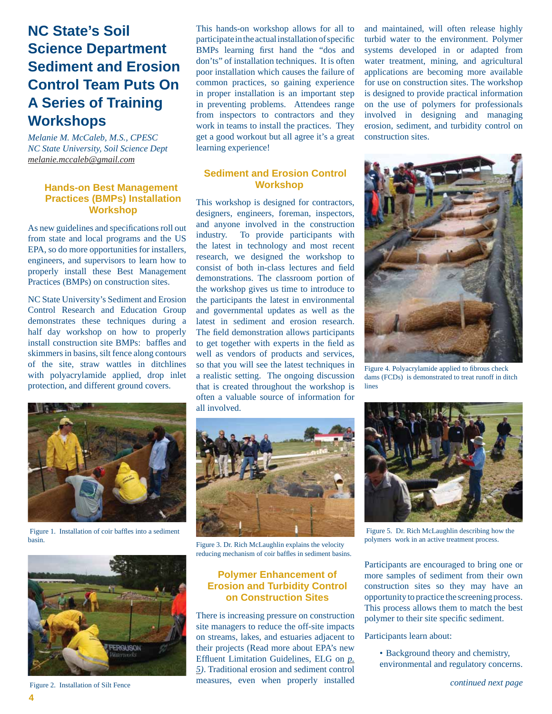# **NC State's Soil Science Department Sediment and Erosion Control Team Puts On A Series of Training Workshops**

*Melanie M. McCaleb, M.S., CPESC NC State University, Soil Science Dept melanie.mccaleb@gmail.com*

#### **Hands-on Best Management Practices (BMPs) Installation Workshop**

As new guidelines and specifications roll out from state and local programs and the US EPA, so do more opportunities for installers, engineers, and supervisors to learn how to properly install these Best Management Practices (BMPs) on construction sites.

NC State University's Sediment and Erosion Control Research and Education Group demonstrates these techniques during a half day workshop on how to properly install construction site BMPs: baffles and skimmers in basins, silt fence along contours of the site, straw wattles in ditchlines with polyacrylamide applied, drop inlet protection, and different ground covers.



Figure 1. Installation of coir baffles into a sediment basin.



Figure 2. Installation of Silt Fence

This hands-on workshop allows for all to participate in the actual installation of specific BMPs learning first hand the "dos and don'ts" of installation techniques. It is often poor installation which causes the failure of common practices, so gaining experience in proper installation is an important step in preventing problems. Attendees range from inspectors to contractors and they work in teams to install the practices. They get a good workout but all agree it's a great learning experience!

### **Sediment and Erosion Control Workshop**

This workshop is designed for contractors, designers, engineers, foreman, inspectors, and anyone involved in the construction industry. To provide participants with the latest in technology and most recent research, we designed the workshop to consist of both in-class lectures and field demonstrations. The classroom portion of the workshop gives us time to introduce to the participants the latest in environmental and governmental updates as well as the latest in sediment and erosion research. The field demonstration allows participants to get together with experts in the field as well as vendors of products and services, so that you will see the latest techniques in a realistic setting. The ongoing discussion that is created throughout the workshop is often a valuable source of information for all involved.



Figure 3. Dr. Rich McLaughlin explains the velocity reducing mechanism of coir baffles in sediment basins.

### **Polymer Enhancement of Erosion and Turbidity Control on Construction Sites**

There is increasing pressure on construction site managers to reduce the off-site impacts on streams, lakes, and estuaries adjacent to their projects (Read more about EPA's new Effluent Limitation Guidelines, ELG on *p*. *5)*. Traditional erosion and sediment control measures, even when properly installed and maintained, will often release highly turbid water to the environment. Polymer systems developed in or adapted from water treatment, mining, and agricultural applications are becoming more available for use on construction sites. The workshop is designed to provide practical information on the use of polymers for professionals involved in designing and managing erosion, sediment, and turbidity control on construction sites.



Figure 4. Polyacrylamide applied to fibrous check dams (FCDs) is demonstrated to treat runoff in ditch lines



 Figure 5. Dr. Rich McLaughlin describing how the polymers work in an active treatment process.

Participants are encouraged to bring one or more samples of sediment from their own construction sites so they may have an opportunity to practice the screening process. This process allows them to match the best polymer to their site specific sediment.

Participants learn about:

• Background theory and chemistry, environmental and regulatory concerns.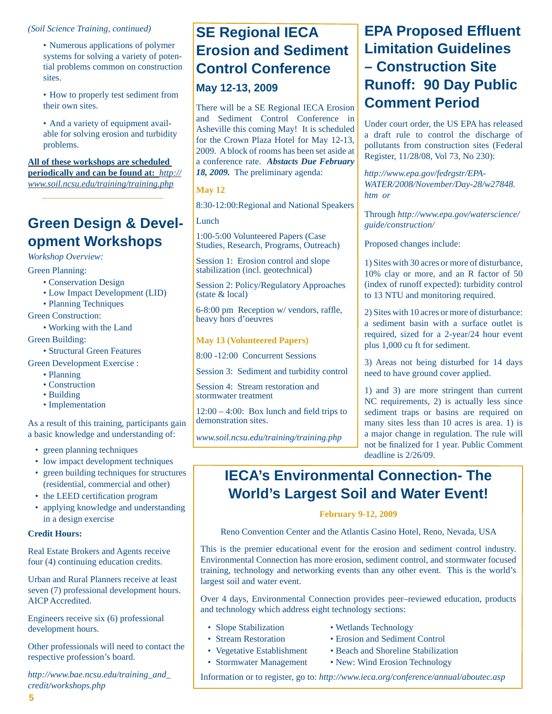#### *(Soil Science Training, continued)*

- Numerous applications of polymer systems for solving a variety of potential problems common on construction sites.
- How to properly test sediment from their own sites.
- And a variety of equipment available for solving erosion and turbidity problems.

**All of these workshops are scheduled periodically and can be found at:** *http:// www.soil.ncsu.edu/training/training.php*

## **Green Design & Development Workshops**

*Workshop Overview:*

Green Planning:

- Conservation Design
- Low Impact Development (LID)
- Planning Techniques

Green Construction:

- Working with the Land
- Green Building:
	- Structural Green Features

Green Development Exercise :

- Planning
- Construction
- Building
- Implementation

As a result of this training, participants gain a basic knowledge and understanding of:

- green planning techniques
- low impact development techniques
- green building techniques for structures (residential, commercial and other)
- the LEED certification program
- applying knowledge and understanding in a design exercise

#### **Credit Hours:**

Real Estate Brokers and Agents receive four (4) continuing education credits.

Urban and Rural Planners receive at least seven (7) professional development hours. AICP Accredited.

Engineers receive six (6) professional development hours.

Other professionals will need to contact the respective profession's board.

*http://www.bae.ncsu.edu/training\_and\_ credit/workshops.php*

## **SE Regional IECA Erosion and Sediment Control Conference May 12-13, 2009**

There will be a SE Regional IECA Erosion and Sediment Control Conference in Asheville this coming May! It is scheduled for the Crown Plaza Hotel for May 12-13, 2009. A block of rooms has been set aside at a conference rate. *Abstacts Due February 18, 2009.* The preliminary agenda:

**May 12**

8:30-12:00:Regional and National Speakers

Lunch

1:00-5:00 Volunteered Papers (Case Studies, Research, Programs, Outreach)

Session 1: Erosion control and slope stabilization (incl. geotechnical)

Session 2: Policy/Regulatory Approaches (state & local)

6-8:00 pm Reception w/ vendors, raffle, heavy hors d'oeuvres

**May 13 (Volunteered Papers)**

8:00 -12:00 Concurrent Sessions

Session 3: Sediment and turbidity control

Session 4: Stream restoration and stormwater treatment

 $12:00 - 4:00$ : Box lunch and field trips to demonstration sites.

*www.soil.ncsu.edu/training/training.php*

## **EPA Proposed Effl uent Limitation Guidelines – Construction Site Runoff: 90 Day Public Comment Period**

Under court order, the US EPA has released a draft rule to control the discharge of pollutants from construction sites (Federal Register, 11/28/08, Vol 73, No 230):

*http://www.epa.gov/fedrgstr/EPA-WATER/2008/November/Day-28/w27848. htm or*

Through *http://www.epa.gov/waterscience/ guide/construction/*

Proposed changes include:

1) Sites with 30 acres or more of disturbance, 10% clay or more, and an R factor of 50 (index of runoff expected): turbidity control to 13 NTU and monitoring required.

2) Sites with 10 acres or more of disturbance: a sediment basin with a surface outlet is required, sized for a 2-year/24 hour event plus 1,000 cu ft for sediment.

3) Areas not being disturbed for 14 days need to have ground cover applied.

1) and 3) are more stringent than current NC requirements, 2) is actually less since sediment traps or basins are required on many sites less than 10 acres is area. 1) is a major change in regulation. The rule will not be finalized for 1 year. Public Comment deadline is 2/26/09.

### **IECA's Environmental Connection- The World's Largest Soil and Water Event!**

#### **February 9-12, 2009**

Reno Convention Center and the Atlantis Casino Hotel, Reno, Nevada, USA

This is the premier educational event for the erosion and sediment control industry. Environmental Connection has more erosion, sediment control, and stormwater focused training, technology and networking events than any other event. This is the world's largest soil and water event.

Over 4 days, Environmental Connection provides peer–reviewed education, products and technology which address eight technology sections:

- Slope Stabilization Wetlands Technology
- 
- 
- 
- 
- Stream Restoration Erosion and Sediment Control
- Vegetative Establishment Beach and Shoreline Stabilization
- Stormwater Management New: Wind Erosion Technology

Information or to register, go to: *http://www.ieca.org/conference/annual/aboutec.asp*